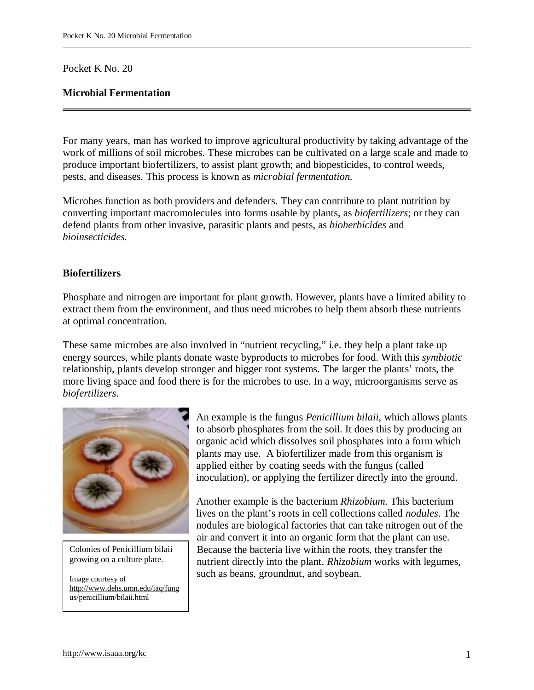### Pocket K No. 20

# **Microbial Fermentation**

For many years, man has worked to improve agricultural productivity by taking advantage of the work of millions of soil microbes. These microbes can be cultivated on a large scale and made to produce important biofertilizers, to assist plant growth; and biopesticides, to control weeds, pests, and diseases. This process is known as *microbial fermentation.*

Microbes function as both providers and defenders. They can contribute to plant nutrition by converting important macromolecules into forms usable by plants, as *biofertilizers*; or they can defend plants from other invasive, parasitic plants and pests, as *bioherbicides* and *bioinsecticides.*

## **Biofertilizers**

Phosphate and nitrogen are important for plant growth. However, plants have a limited ability to extract them from the environment, and thus need microbes to help them absorb these nutrients at optimal concentration.

These same microbes are also involved in "nutrient recycling," i.e. they help a plant take up energy sources, while plants donate waste byproducts to microbes for food. With this *symbiotic*  relationship, plants develop stronger and bigger root systems. The larger the plants' roots, the more living space and food there is for the microbes to use. In a way, microorganisms serve as *biofertilizers*.



Colonies of Penicillium bilaii growing on a culture plate.

Image courtesy of <http://www.dehs.umn.edu/iaq/fung> us/penicillium/bilaii.html

An example is the fungus *Penicillium bilaii*, which allows plants to absorb phosphates from the soil. It does this by producing an organic acid which dissolves soil phosphates into a form which plants may use. A biofertilizer made from this organism is applied either by coating seeds with the fungus (called inoculation), or applying the fertilizer directly into the ground.

Another example is the bacterium *Rhizobium*. This bacterium lives on the plant's roots in cell collections called *nodules*. The nodules are biological factories that can take nitrogen out of the air and convert it into an organic form that the plant can use. Because the bacteria live within the roots, they transfer the nutrient directly into the plant. *Rhizobium* works with legumes, such as beans, groundnut, and soybean.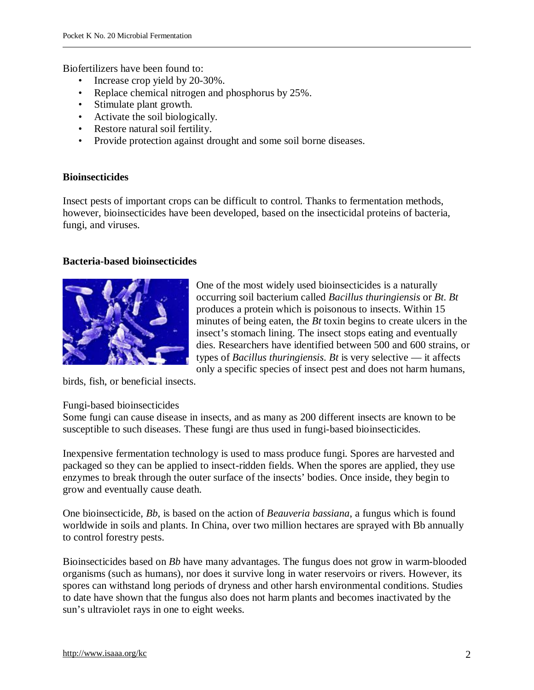Biofertilizers have been found to:

- Increase crop yield by 20-30%.
- Replace chemical nitrogen and phosphorus by 25%.
- Stimulate plant growth.
- Activate the soil biologically.
- Restore natural soil fertility.
- Provide protection against drought and some soil borne diseases.

### **Bioinsecticides**

Insect pests of important crops can be difficult to control. Thanks to fermentation methods, however, bioinsecticides have been developed, based on the insecticidal proteins of bacteria, fungi, and viruses.

#### **Bacteria-based bioinsecticides**



One of the most widely used bioinsecticides is a naturally occurring soil bacterium called *Bacillus thuringiensis* or *Bt*. *Bt* produces a protein which is poisonous to insects. Within 15 minutes of being eaten, the *Bt* toxin begins to create ulcers in the insect's stomach lining. The insect stops eating and eventually dies. Researchers have identified between 500 and 600 strains, or types of *Bacillus thuringiensis*. *Bt* is very selective — it affects only a specific species of insect pest and does not harm humans,

birds, fish, or beneficial insects.

#### Fungi-based bioinsecticides

Some fungi can cause disease in insects, and as many as 200 different insects are known to be susceptible to such diseases. These fungi are thus used in fungi-based bioinsecticides.

Inexpensive fermentation technology is used to mass produce fungi. Spores are harvested and packaged so they can be applied to insect-ridden fields. When the spores are applied, they use enzymes to break through the outer surface of the insects' bodies. Once inside, they begin to grow and eventually cause death.

One bioinsecticide, *Bb*, is based on the action of *Beauveria bassiana*, a fungus which is found worldwide in soils and plants. In China, over two million hectares are sprayed with Bb annually to control forestry pests.

Bioinsecticides based on *Bb* have many advantages. The fungus does not grow in warm-blooded organisms (such as humans), nor does it survive long in water reservoirs or rivers. However, its spores can withstand long periods of dryness and other harsh environmental conditions. Studies to date have shown that the fungus also does not harm plants and becomes inactivated by the sun's ultraviolet rays in one to eight weeks.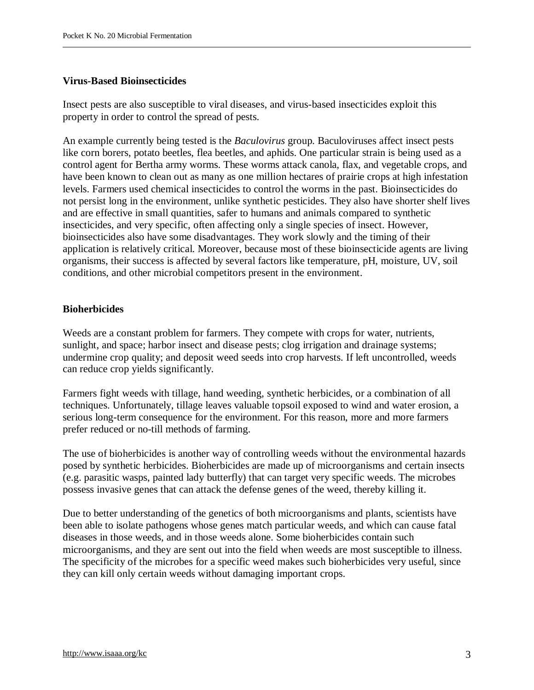### **Virus-Based Bioinsecticides**

Insect pests are also susceptible to viral diseases, and virus-based insecticides exploit this property in order to control the spread of pests.

An example currently being tested is the *Baculovirus* group. Baculoviruses affect insect pests like corn borers, potato beetles, flea beetles, and aphids. One particular strain is being used as a control agent for Bertha army worms. These worms attack canola, flax, and vegetable crops, and have been known to clean out as many as one million hectares of prairie crops at high infestation levels. Farmers used chemical insecticides to control the worms in the past. Bioinsecticides do not persist long in the environment, unlike synthetic pesticides. They also have shorter shelf lives and are effective in small quantities, safer to humans and animals compared to synthetic insecticides, and very specific, often affecting only a single species of insect. However, bioinsecticides also have some disadvantages. They work slowly and the timing of their application is relatively critical. Moreover, because most of these bioinsecticide agents are living organisms, their success is affected by several factors like temperature, pH, moisture, UV, soil conditions, and other microbial competitors present in the environment.

## **Bioherbicides**

Weeds are a constant problem for farmers. They compete with crops for water, nutrients, sunlight, and space; harbor insect and disease pests; clog irrigation and drainage systems; undermine crop quality; and deposit weed seeds into crop harvests. If left uncontrolled, weeds can reduce crop yields significantly.

Farmers fight weeds with tillage, hand weeding, synthetic herbicides, or a combination of all techniques. Unfortunately, tillage leaves valuable topsoil exposed to wind and water erosion, a serious long-term consequence for the environment. For this reason, more and more farmers prefer reduced or no-till methods of farming.

The use of bioherbicides is another way of controlling weeds without the environmental hazards posed by synthetic herbicides. Bioherbicides are made up of microorganisms and certain insects (e.g. parasitic wasps, painted lady butterfly) that can target very specific weeds. The microbes possess invasive genes that can attack the defense genes of the weed, thereby killing it.

Due to better understanding of the genetics of both microorganisms and plants, scientists have been able to isolate pathogens whose genes match particular weeds, and which can cause fatal diseases in those weeds, and in those weeds alone. Some bioherbicides contain such microorganisms, and they are sent out into the field when weeds are most susceptible to illness. The specificity of the microbes for a specific weed makes such bioherbicides very useful, since they can kill only certain weeds without damaging important crops.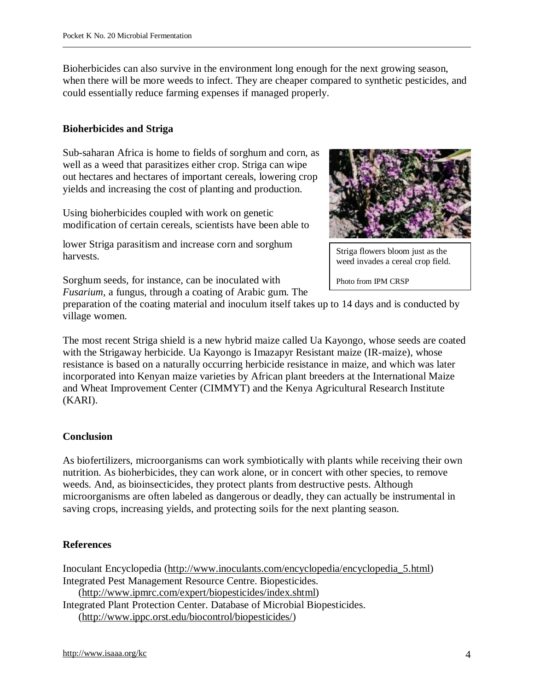Bioherbicides can also survive in the environment long enough for the next growing season, when there will be more weeds to infect. They are cheaper compared to synthetic pesticides, and could essentially reduce farming expenses if managed properly.

## **Bioherbicides and Striga**

Sub-saharan Africa is home to fields of sorghum and corn, as well as a weed that parasitizes either crop. Striga can wipe out hectares and hectares of important cereals, lowering crop yields and increasing the cost of planting and production.

Using bioherbicides coupled with work on genetic modification of certain cereals, scientists have been able to

lower Striga parasitism and increase corn and sorghum harvests.

Striga flowers bloom just as the weed invades a cereal crop field.

Photo from IPM CRSP

Sorghum seeds, for instance, can be inoculated with *Fusarium*, a fungus, through a coating of Arabic gum. The

preparation of the coating material and inoculum itself takes up to 14 days and is conducted by village women.

The most recent Striga shield is a new hybrid maize called Ua Kayongo, whose seeds are coated with the Strigaway herbicide. Ua Kayongo is Imazapyr Resistant maize (IR-maize), whose resistance is based on a naturally occurring herbicide resistance in maize, and which was later incorporated into Kenyan maize varieties by African plant breeders at the International Maize and Wheat Improvement Center (CIMMYT) and the Kenya Agricultural Research Institute (KARI).

# **Conclusion**

As biofertilizers, microorganisms can work symbiotically with plants while receiving their own nutrition. As bioherbicides, they can work alone, or in concert with other species, to remove weeds. And, as bioinsecticides, they protect plants from destructive pests. Although microorganisms are often labeled as dangerous or deadly, they can actually be instrumental in saving crops, increasing yields, and protecting soils for the next planting season.

### **References**

Inoculant Encyclopedia [\(http://www.inoculants.com/encyclopedia/encyclopedia\\_5.html](http://www.inoculants.com/encyclopedia/encyclopedia_5.html)) Integrated Pest Management Resource Centre. Biopesticides. ([http://www.ipmrc.com/expert/biopesticides/index.shtml\)](http://www.ipmrc.com/expert/biopesticides/index.shtml) Integrated Plant Protection Center. Database of Microbial Biopesticides.

([http://www.ippc.orst.edu/biocontrol/biopesticides/\)](http://www.ippc.orst.edu/biocontrol/biopesticides/)